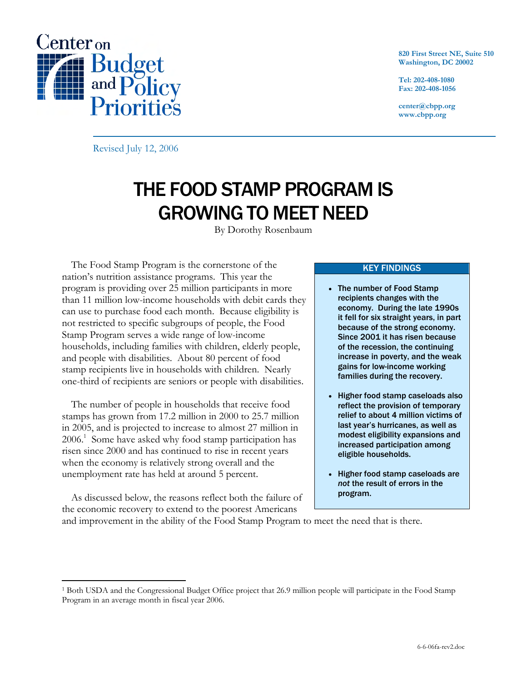

**820 First Street NE, Suite 510 Washington, DC 20002** 

**Tel: 202-408-1080 Fax: 202-408-1056** 

**center@cbpp.org www.cbpp.org** 

Revised July 12, 2006

# THE FOOD STAMP PROGRAM IS GROWING TO MEET NEED

By Dorothy Rosenbaum

The Food Stamp Program is the cornerstone of the nation's nutrition assistance programs. This year the program is providing over 25 million participants in more than 11 million low-income households with debit cards they can use to purchase food each month. Because eligibility is not restricted to specific subgroups of people, the Food Stamp Program serves a wide range of low-income households, including families with children, elderly people, and people with disabilities. About 80 percent of food stamp recipients live in households with children. Nearly one-third of recipients are seniors or people with disabilities.

The number of people in households that receive food stamps has grown from 17.2 million in 2000 to 25.7 million in 2005, and is projected to increase to almost 27 million in 2006.1 Some have asked why food stamp participation has risen since 2000 and has continued to rise in recent years when the economy is relatively strong overall and the unemployment rate has held at around 5 percent.

As discussed below, the reasons reflect both the failure of the economic recovery to extend to the poorest Americans and improvement in the ability of the Food Stamp Program to meet the need that is there.

 $\overline{a}$ 

### KEY FINDINGS

- The number of Food Stamp recipients changes with the economy. During the late 1990s it fell for six straight years, in part because of the strong economy. Since 2001 it has risen because of the recession, the continuing increase in poverty, and the weak gains for low-income working families during the recovery.
- Higher food stamp caseloads also reflect the provision of temporary relief to about 4 million victims of last year's hurricanes, as well as modest eligibility expansions and increased participation among eligible households.
- Higher food stamp caseloads are *not* the result of errors in the program.

<sup>1</sup> Both USDA and the Congressional Budget Office project that 26.9 million people will participate in the Food Stamp Program in an average month in fiscal year 2006.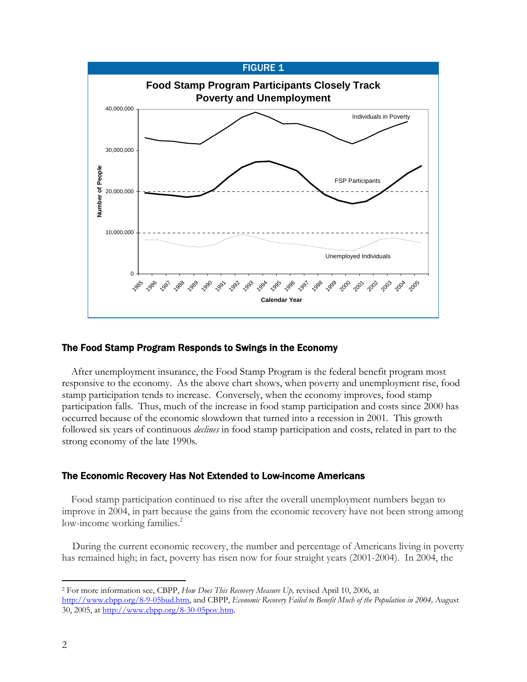

# The Food Stamp Program Responds to Swings in the Economy

After unemployment insurance, the Food Stamp Program is the federal benefit program most responsive to the economy. As the above chart shows, when poverty and unemployment rise, food stamp participation tends to increase. Conversely, when the economy improves, food stamp participation falls. Thus, much of the increase in food stamp participation and costs since 2000 has occurred because of the economic slowdown that turned into a recession in 2001. This growth followed six years of continuous *declines* in food stamp participation and costs, related in part to the strong economy of the late 1990s.

# The Economic Recovery Has Not Extended to Low-income Americans

Food stamp participation continued to rise after the overall unemployment numbers began to improve in 2004, in part because the gains from the economic recovery have not been strong among low-income working families.<sup>2</sup>

 During the current economic recovery, the number and percentage of Americans living in poverty has remained high; in fact, poverty has risen now for four straight years (2001-2004). In 2004, the

 $\overline{a}$ 2 For more information see, CBPP, *How Does This Recovery Measure Up,* revised April 10, 2006, at http://www.cbpp.org/8-9-05bud.htm, and CBPP, *Economic Recovery Failed to Benefit Much of the Population in 2004,* August 30, 2005, at http://www.cbpp.org/8-30-05pov.htm.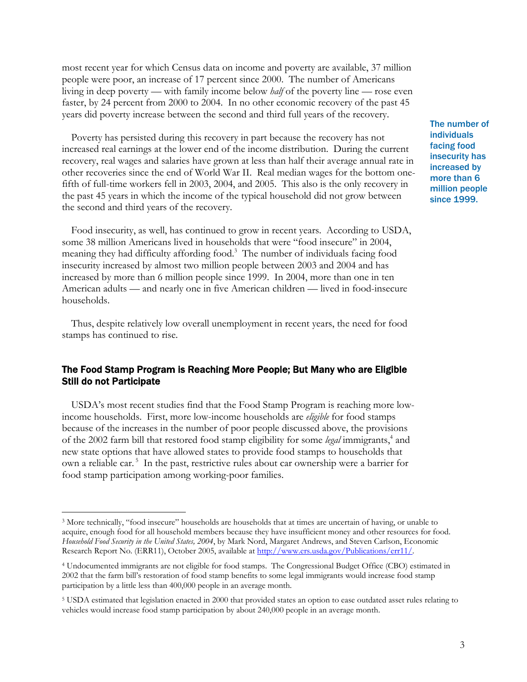most recent year for which Census data on income and poverty are available, 37 million people were poor, an increase of 17 percent since 2000. The number of Americans living in deep poverty — with family income below *half* of the poverty line — rose even faster, by 24 percent from 2000 to 2004. In no other economic recovery of the past 45 years did poverty increase between the second and third full years of the recovery.

Poverty has persisted during this recovery in part because the recovery has not increased real earnings at the lower end of the income distribution. During the current recovery, real wages and salaries have grown at less than half their average annual rate in other recoveries since the end of World War II. Real median wages for the bottom onefifth of full-time workers fell in 2003, 2004, and 2005. This also is the only recovery in the past 45 years in which the income of the typical household did not grow between the second and third years of the recovery.

Food insecurity, as well, has continued to grow in recent years. According to USDA, some 38 million Americans lived in households that were "food insecure" in 2004, meaning they had difficulty affording food.<sup>3</sup> The number of individuals facing food insecurity increased by almost two million people between 2003 and 2004 and has increased by more than 6 million people since 1999. In 2004, more than one in ten American adults — and nearly one in five American children — lived in food-insecure households.

Thus, despite relatively low overall unemployment in recent years, the need for food stamps has continued to rise.

# The Food Stamp Program is Reaching More People; But Many who are Eligible Still do not Participate

USDA's most recent studies find that the Food Stamp Program is reaching more lowincome households. First, more low-income households are *eligible* for food stamps because of the increases in the number of poor people discussed above, the provisions of the 2002 farm bill that restored food stamp eligibility for some legal immigrants,<sup>4</sup> and new state options that have allowed states to provide food stamps to households that own a reliable car.<sup>5</sup> In the past, restrictive rules about car ownership were a barrier for food stamp participation among working-poor families.

 $\overline{a}$ 

The number of individuals facing food insecurity has increased by more than 6 million people since 1999.

<sup>&</sup>lt;sup>3</sup> More technically, "food insecure" households are households that at times are uncertain of having, or unable to acquire, enough food for all household members because they have insufficient money and other resources for food. *Household Food Security in the United States, 2004*, by Mark Nord, Margaret Andrews, and Steven Carlson, Economic Research Report No. (ERR11), October 2005, available at http://www.ers.usda.gov/Publications/err11/.

<sup>4</sup> Undocumented immigrants are not eligible for food stamps. The Congressional Budget Office (CBO) estimated in 2002 that the farm bill's restoration of food stamp benefits to some legal immigrants would increase food stamp participation by a little less than 400,000 people in an average month.

<sup>5</sup> USDA estimated that legislation enacted in 2000 that provided states an option to ease outdated asset rules relating to vehicles would increase food stamp participation by about 240,000 people in an average month.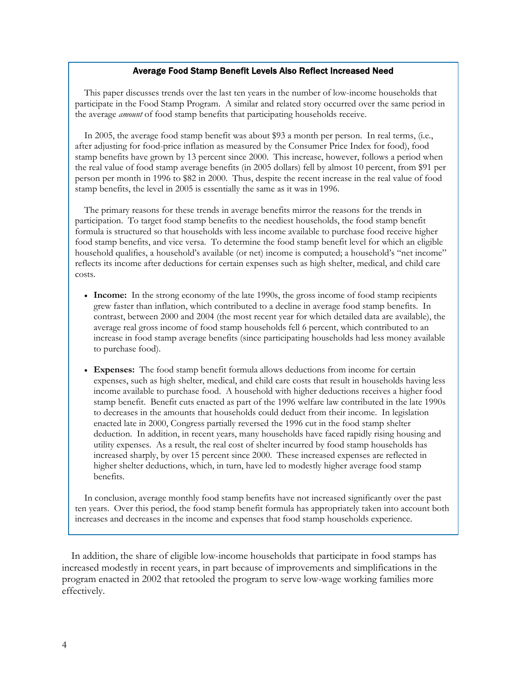#### Average Food Stamp Benefit Levels Also Reflect Increased Need

This paper discusses trends over the last ten years in the number of low-income households that participate in the Food Stamp Program. A similar and related story occurred over the same period in the average *amount* of food stamp benefits that participating households receive.

In 2005, the average food stamp benefit was about \$93 a month per person. In real terms, (i.e., after adjusting for food-price inflation as measured by the Consumer Price Index for food), food stamp benefits have grown by 13 percent since 2000. This increase, however, follows a period when the real value of food stamp average benefits (in 2005 dollars) fell by almost 10 percent, from \$91 per person per month in 1996 to \$82 in 2000. Thus, despite the recent increase in the real value of food stamp benefits, the level in 2005 is essentially the same as it was in 1996.

The primary reasons for these trends in average benefits mirror the reasons for the trends in participation. To target food stamp benefits to the neediest households, the food stamp benefit formula is structured so that households with less income available to purchase food receive higher food stamp benefits, and vice versa. To determine the food stamp benefit level for which an eligible household qualifies, a household's available (or net) income is computed; a household's "net income" reflects its income after deductions for certain expenses such as high shelter, medical, and child care costs.

- **Income:** In the strong economy of the late 1990s, the gross income of food stamp recipients grew faster than inflation, which contributed to a decline in average food stamp benefits. In contrast, between 2000 and 2004 (the most recent year for which detailed data are available), the average real gross income of food stamp households fell 6 percent, which contributed to an increase in food stamp average benefits (since participating households had less money available to purchase food).
- **Expenses:** The food stamp benefit formula allows deductions from income for certain expenses, such as high shelter, medical, and child care costs that result in households having less income available to purchase food. A household with higher deductions receives a higher food stamp benefit. Benefit cuts enacted as part of the 1996 welfare law contributed in the late 1990s to decreases in the amounts that households could deduct from their income. In legislation enacted late in 2000, Congress partially reversed the 1996 cut in the food stamp shelter deduction. In addition, in recent years, many households have faced rapidly rising housing and utility expenses. As a result, the real cost of shelter incurred by food stamp households has increased sharply, by over 15 percent since 2000. These increased expenses are reflected in higher shelter deductions, which, in turn, have led to modestly higher average food stamp benefits.

In conclusion, average monthly food stamp benefits have not increased significantly over the past ten years. Over this period, the food stamp benefit formula has appropriately taken into account both increases and decreases in the income and expenses that food stamp households experience.

In addition, the share of eligible low-income households that participate in food stamps has increased modestly in recent years, in part because of improvements and simplifications in the program enacted in 2002 that retooled the program to serve low-wage working families more effectively.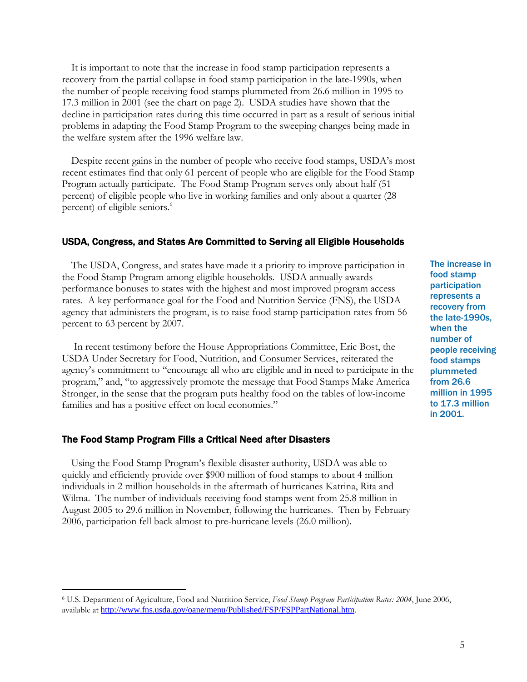It is important to note that the increase in food stamp participation represents a recovery from the partial collapse in food stamp participation in the late-1990s, when the number of people receiving food stamps plummeted from 26.6 million in 1995 to 17.3 million in 2001 (see the chart on page 2). USDA studies have shown that the decline in participation rates during this time occurred in part as a result of serious initial problems in adapting the Food Stamp Program to the sweeping changes being made in the welfare system after the 1996 welfare law.

Despite recent gains in the number of people who receive food stamps, USDA's most recent estimates find that only 61 percent of people who are eligible for the Food Stamp Program actually participate. The Food Stamp Program serves only about half (51 percent) of eligible people who live in working families and only about a quarter (28 percent) of eligible seniors.<sup>6</sup>

## USDA, Congress, and States Are Committed to Serving all Eligible Households

The USDA, Congress, and states have made it a priority to improve participation in the Food Stamp Program among eligible households. USDA annually awards performance bonuses to states with the highest and most improved program access rates. A key performance goal for the Food and Nutrition Service (FNS), the USDA agency that administers the program, is to raise food stamp participation rates from 56 percent to 63 percent by 2007.

 In recent testimony before the House Appropriations Committee, Eric Bost, the USDA Under Secretary for Food, Nutrition, and Consumer Services, reiterated the agency's commitment to "encourage all who are eligible and in need to participate in the program," and, "to aggressively promote the message that Food Stamps Make America Stronger, in the sense that the program puts healthy food on the tables of low-income families and has a positive effect on local economies."

## The Food Stamp Program Fills a Critical Need after Disasters

-

Using the Food Stamp Program's flexible disaster authority, USDA was able to quickly and efficiently provide over \$900 million of food stamps to about 4 million individuals in 2 million households in the aftermath of hurricanes Katrina, Rita and Wilma. The number of individuals receiving food stamps went from 25.8 million in August 2005 to 29.6 million in November, following the hurricanes. Then by February 2006, participation fell back almost to pre-hurricane levels (26.0 million).

The increase in food stamp participation represents a recovery from the late-1990s, when the number of people receiving food stamps plummeted from 26.6 million in 1995 to 17.3 million in 2001.

<sup>6</sup> U.S. Department of Agriculture, Food and Nutrition Service, *Food Stamp Program Participation Rates: 2004*, June 2006, available at http://www.fns.usda.gov/oane/menu/Published/FSP/FSPPartNational.htm.